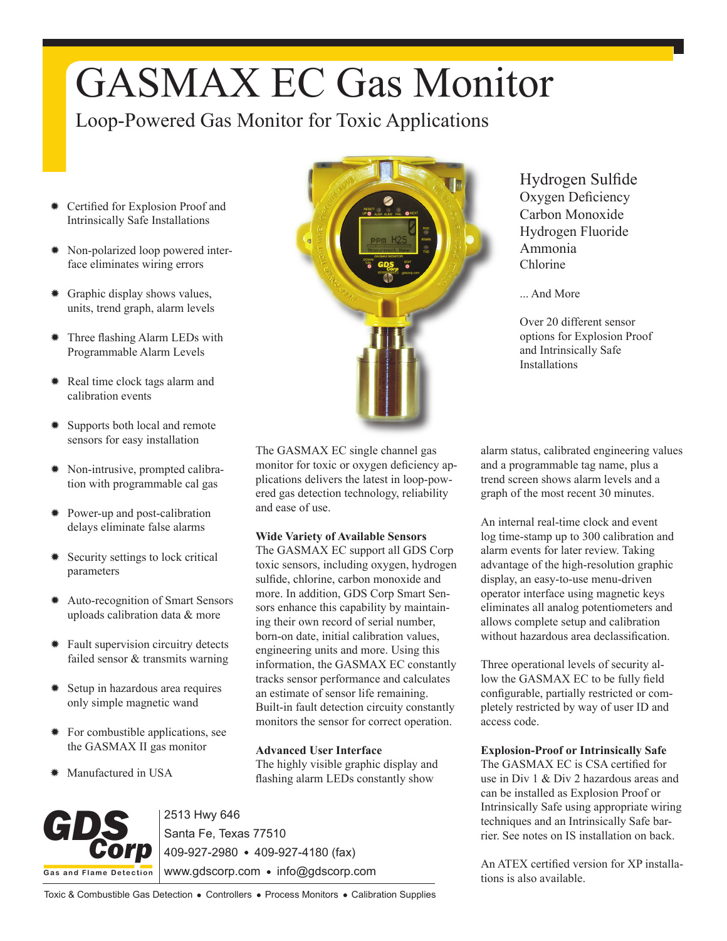# GASMAX EC Gas Monitor

Loop-Powered Gas Monitor for Toxic Applications

- ✹ Certified for Explosion Proof and Intrinsically Safe Installations
- ✹ Non-polarized loop powered interface eliminates wiring errors
- ✹ Graphic display shows values, units, trend graph, alarm levels
- ✹ Three flashing Alarm LEDs with Programmable Alarm Levels
- ✹ Real time clock tags alarm and calibration events
- ✹ Supports both local and remote sensors for easy installation
- ✹ Non-intrusive, prompted calibration with programmable cal gas
- ✹ Power-up and post-calibration delays eliminate false alarms
- ✹ Security settings to lock critical parameters
- ✹ Auto-recognition of Smart Sensors uploads calibration data & more
- ✹ Fault supervision circuitry detects failed sensor & transmits warning
- ✹ Setup in hazardous area requires only simple magnetic wand
- ✹ For combustible applications, see the GASMAX II gas monitor
- ✹ Manufactured in USA



Hydrogen Sulfide Oxygen Deficiency Carbon Monoxide Hydrogen Fluoride Ammonia Chlorine

... And More

Over 20 different sensor options for Explosion Proof and Intrinsically Safe Installations

The GASMAX EC single channel gas monitor for toxic or oxygen deficiency applications delivers the latest in loop-powered gas detection technology, reliability and ease of use.

### **Wide Variety of Available Sensors**

The GASMAX EC support all GDS Corp toxic sensors, including oxygen, hydrogen sulfide, chlorine, carbon monoxide and more. In addition, GDS Corp Smart Sensors enhance this capability by maintaining their own record of serial number, born-on date, initial calibration values, engineering units and more. Using this information, the GASMAX EC constantly tracks sensor performance and calculates an estimate of sensor life remaining. Built-in fault detection circuity constantly monitors the sensor for correct operation.

#### **Advanced User Interface**

The highly visible graphic display and flashing alarm LEDs constantly show



2513 Hwy 646 Santa Fe, Texas 77510 409-927-2980 409-927-4180 (fax) www.gdscorp.com · info@gdscorp.com

alarm status, calibrated engineering values and a programmable tag name, plus a trend screen shows alarm levels and a graph of the most recent 30 minutes.

An internal real-time clock and event log time-stamp up to 300 calibration and alarm events for later review. Taking advantage of the high-resolution graphic display, an easy-to-use menu-driven operator interface using magnetic keys eliminates all analog potentiometers and allows complete setup and calibration without hazardous area declassification.

Three operational levels of security allow the GASMAX EC to be fully field configurable, partially restricted or completely restricted by way of user ID and access code.

**Explosion-Proof or Intrinsically Safe**

The GASMAX EC is CSA certified for use in Div 1 & Div 2 hazardous areas and can be installed as Explosion Proof or Intrinsically Safe using appropriate wiring techniques and an Intrinsically Safe barrier. See notes on IS installation on back.

An ATEX certified version for XP installations is also available.

Toxic & Combustible Gas Detection . Controllers . Process Monitors . Calibration Supplies